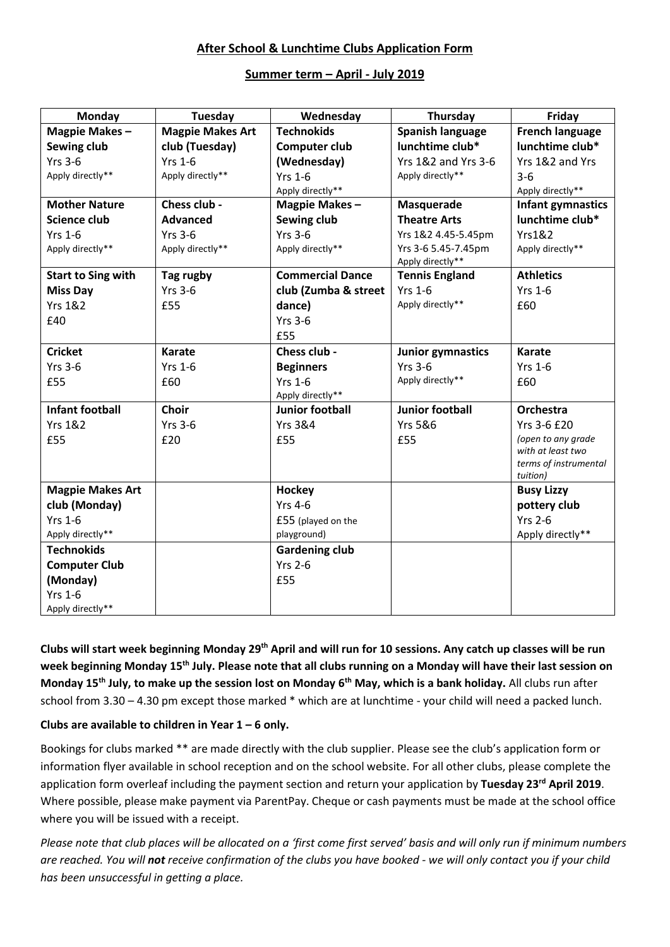# **After School & Lunchtime Clubs Application Form**

### **Summer term – April - July 2019**

| Monday                    | Tuesday                 | Wednesday               | Thursday                                | Friday                            |
|---------------------------|-------------------------|-------------------------|-----------------------------------------|-----------------------------------|
| Magpie Makes-             | <b>Magpie Makes Art</b> | <b>Technokids</b>       | Spanish language                        | <b>French language</b>            |
| Sewing club               | club (Tuesday)          | Computer club           | lunchtime club*                         | lunchtime club*                   |
| $Yrs$ 3-6                 | <b>Yrs 1-6</b>          | (Wednesday)             | <b>Yrs 1&amp;2 and Yrs 3-6</b>          | Yrs 1&2 and Yrs                   |
| Apply directly**          | Apply directly**        | <b>Yrs 1-6</b>          | Apply directly**                        | $3 - 6$                           |
|                           |                         | Apply directly**        |                                         | Apply directly**                  |
| <b>Mother Nature</b>      | Chess club -            | Magpie Makes-           | Masquerade                              | Infant gymnastics                 |
| <b>Science club</b>       | <b>Advanced</b>         | Sewing club             | <b>Theatre Arts</b>                     | lunchtime club*                   |
| <b>Yrs 1-6</b>            | <b>Yrs 3-6</b>          | <b>Yrs 3-6</b>          | Yrs 1&2 4.45-5.45pm                     | <b>Yrs1&amp;2</b>                 |
| Apply directly**          | Apply directly**        | Apply directly**        | Yrs 3-6 5.45-7.45pm<br>Apply directly** | Apply directly**                  |
| <b>Start to Sing with</b> | Tag rugby               | <b>Commercial Dance</b> | <b>Tennis England</b>                   | <b>Athletics</b>                  |
| <b>Miss Day</b>           | <b>Yrs 3-6</b>          | club (Zumba & street    | <b>Yrs 1-6</b>                          | <b>Yrs 1-6</b>                    |
| <b>Yrs 1&amp;2</b>        | £55                     | dance)                  | Apply directly**                        | £60                               |
| £40                       |                         | <b>Yrs 3-6</b>          |                                         |                                   |
|                           |                         | £55                     |                                         |                                   |
| <b>Cricket</b>            | <b>Karate</b>           | Chess club -            | <b>Junior gymnastics</b>                | <b>Karate</b>                     |
| <b>Yrs 3-6</b>            | <b>Yrs 1-6</b>          | <b>Beginners</b>        | <b>Yrs 3-6</b>                          | <b>Yrs 1-6</b>                    |
| £55                       | £60                     | <b>Yrs 1-6</b>          | Apply directly**                        | £60                               |
|                           |                         | Apply directly**        |                                         |                                   |
| <b>Infant football</b>    | <b>Choir</b>            | <b>Junior football</b>  | <b>Junior football</b>                  | Orchestra                         |
| <b>Yrs 1&amp;2</b>        | $Yrs$ 3-6               | <b>Yrs 3&amp;4</b>      | <b>Yrs 5&amp;6</b>                      | Yrs 3-6 £20                       |
| £55                       | £20                     | £55                     | £55                                     | (open to any grade                |
|                           |                         |                         |                                         | with at least two                 |
|                           |                         |                         |                                         | terms of instrumental<br>tuition) |
| <b>Magpie Makes Art</b>   |                         | Hockey                  |                                         | <b>Busy Lizzy</b>                 |
| club (Monday)             |                         | <b>Yrs 4-6</b>          |                                         | pottery club                      |
| <b>Yrs 1-6</b>            |                         | £55 (played on the      |                                         | <b>Yrs 2-6</b>                    |
| Apply directly**          |                         | playground)             |                                         | Apply directly**                  |
| <b>Technokids</b>         |                         | <b>Gardening club</b>   |                                         |                                   |
| <b>Computer Club</b>      |                         | <b>Yrs 2-6</b>          |                                         |                                   |
| (Monday)                  |                         | £55                     |                                         |                                   |
| <b>Yrs 1-6</b>            |                         |                         |                                         |                                   |
| Apply directly**          |                         |                         |                                         |                                   |

**Clubs will start week beginning Monday 29th April and will run for 10 sessions. Any catch up classes will be run week beginning Monday 15th July. Please note that all clubs running on a Monday will have their last session on Monday 15th July, to make up the session lost on Monday 6th May, which is a bank holiday.** All clubs run after school from 3.30 – 4.30 pm except those marked \* which are at lunchtime - your child will need a packed lunch.

### **Clubs are available to children in Year 1 – 6 only.**

Bookings for clubs marked \*\* are made directly with the club supplier. Please see the club's application form or information flyer available in school reception and on the school website. For all other clubs, please complete the application form overleaf including the payment section and return your application by **Tuesday 23rd April 2019**. Where possible, please make payment via ParentPay. Cheque or cash payments must be made at the school office where you will be issued with a receipt.

*Please note that club places will be allocated on a 'first come first served' basis and will only run if minimum numbers are reached. You will not receive confirmation of the clubs you have booked - we will only contact you if your child has been unsuccessful in getting a place.*